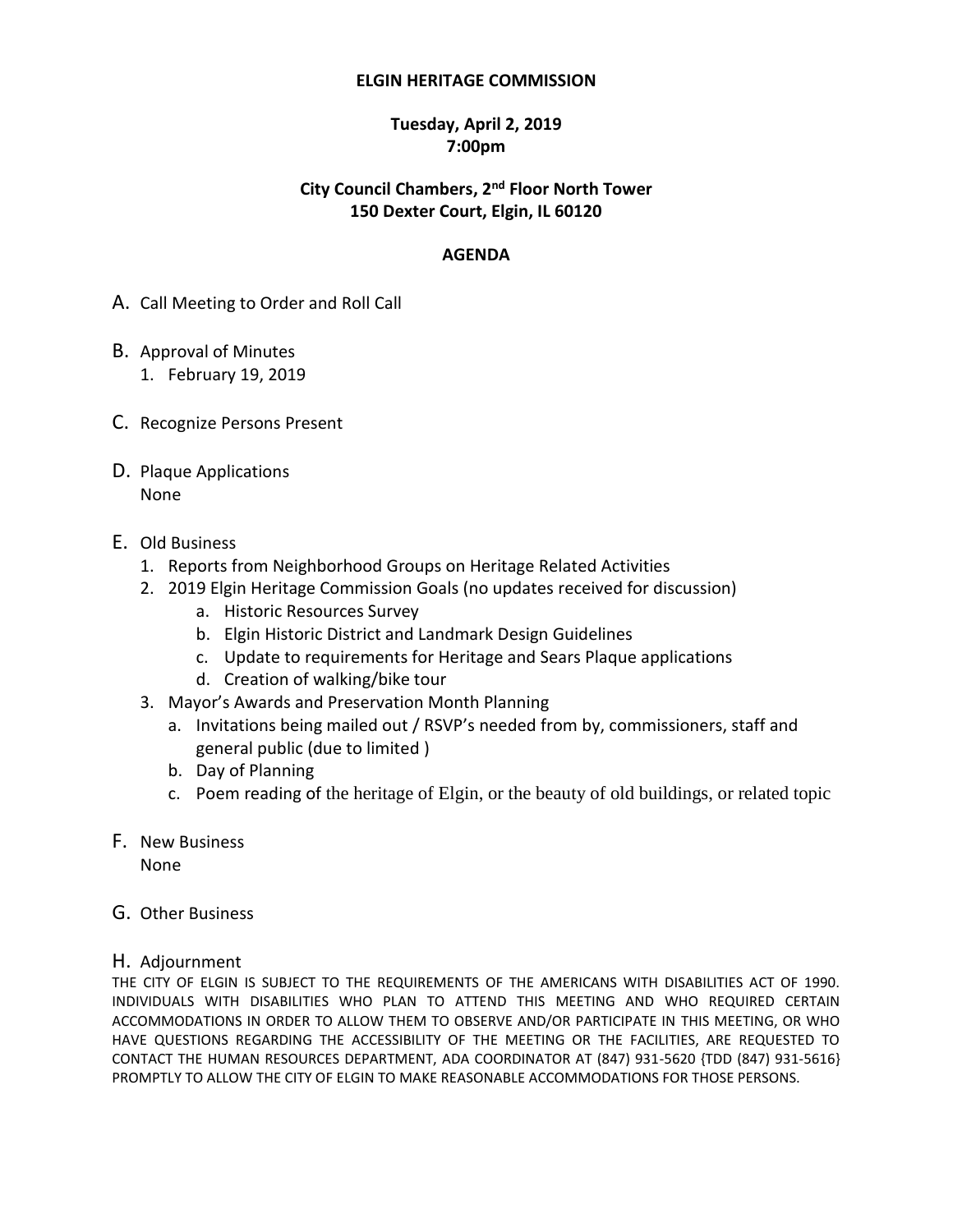#### **ELGIN HERITAGE COMMISSION**

### **Tuesday, April 2, 2019 7:00pm**

### **City Council Chambers, 2 nd Floor North Tower 150 Dexter Court, Elgin, IL 60120**

### **AGENDA**

- A. Call Meeting to Order and Roll Call
- B. Approval of Minutes 1. February 19, 2019
- C. Recognize Persons Present
- D. Plaque Applications None
- E. Old Business
	- 1. Reports from Neighborhood Groups on Heritage Related Activities
	- 2. 2019 Elgin Heritage Commission Goals (no updates received for discussion)
		- a. Historic Resources Survey
		- b. Elgin Historic District and Landmark Design Guidelines
		- c. Update to requirements for Heritage and Sears Plaque applications
		- d. Creation of walking/bike tour
	- 3. Mayor's Awards and Preservation Month Planning
		- a. Invitations being mailed out / RSVP's needed from by, commissioners, staff and general public (due to limited )
		- b. Day of Planning
		- c. Poem reading of the heritage of Elgin, or the beauty of old buildings, or related topic
- F. New Business None
- G. Other Business
- H. Adjournment

THE CITY OF ELGIN IS SUBJECT TO THE REQUIREMENTS OF THE AMERICANS WITH DISABILITIES ACT OF 1990. INDIVIDUALS WITH DISABILITIES WHO PLAN TO ATTEND THIS MEETING AND WHO REQUIRED CERTAIN ACCOMMODATIONS IN ORDER TO ALLOW THEM TO OBSERVE AND/OR PARTICIPATE IN THIS MEETING, OR WHO HAVE QUESTIONS REGARDING THE ACCESSIBILITY OF THE MEETING OR THE FACILITIES, ARE REQUESTED TO CONTACT THE HUMAN RESOURCES DEPARTMENT, ADA COORDINATOR AT (847) 931-5620 {TDD (847) 931-5616} PROMPTLY TO ALLOW THE CITY OF ELGIN TO MAKE REASONABLE ACCOMMODATIONS FOR THOSE PERSONS.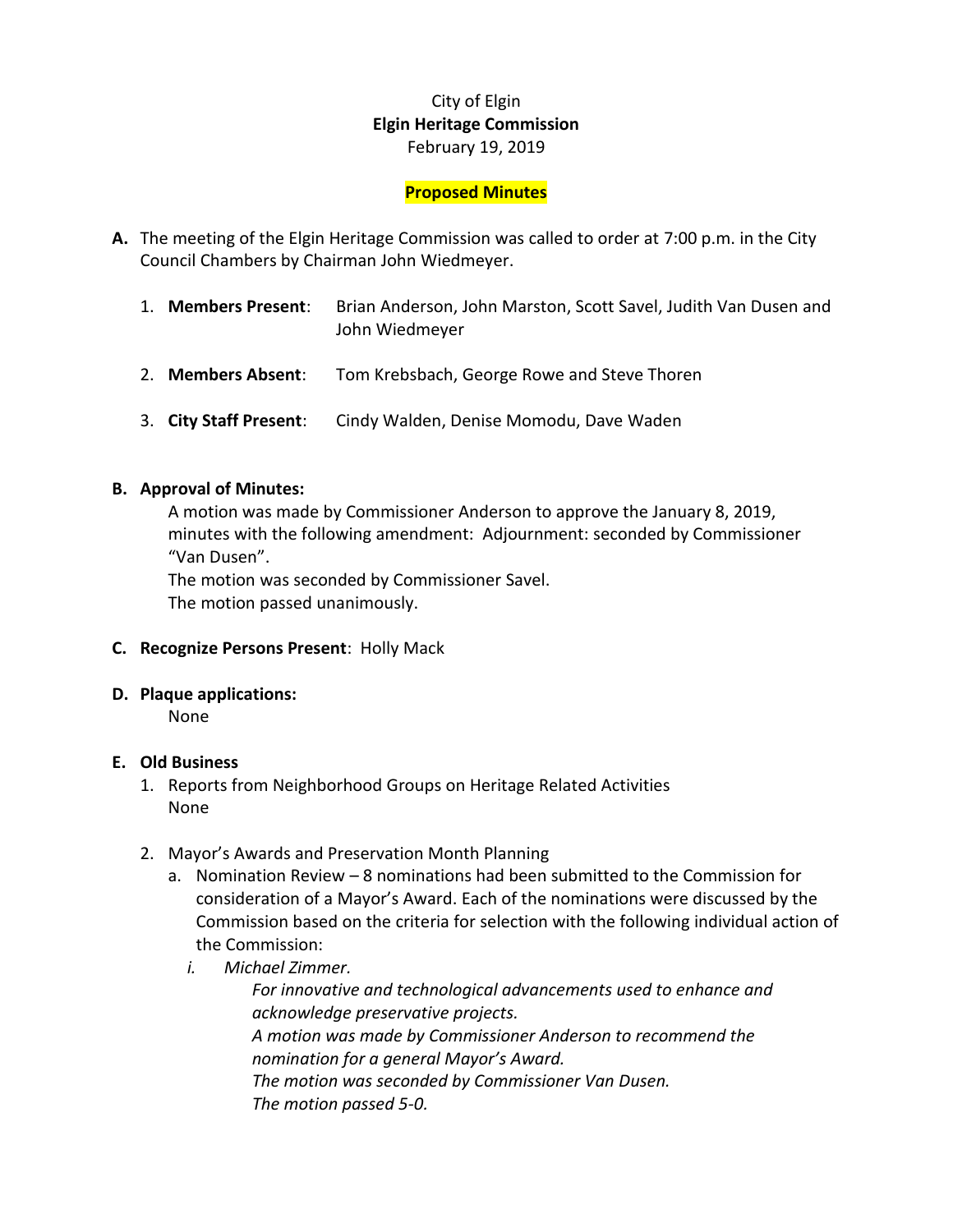# City of Elgin **Elgin Heritage Commission** February 19, 2019

### **Proposed Minutes**

- **A.** The meeting of the Elgin Heritage Commission was called to order at 7:00 p.m. in the City Council Chambers by Chairman John Wiedmeyer.
	- 1. **Members Present**: Brian Anderson, John Marston, Scott Savel, Judith Van Dusen and John Wiedmeyer
	- 2. **Members Absent**: Tom Krebsbach, George Rowe and Steve Thoren
	- 3. **City Staff Present**: Cindy Walden, Denise Momodu, Dave Waden

### **B. Approval of Minutes:**

A motion was made by Commissioner Anderson to approve the January 8, 2019, minutes with the following amendment: Adjournment: seconded by Commissioner "Van Dusen".

The motion was seconded by Commissioner Savel.

The motion passed unanimously.

- **C. Recognize Persons Present**: Holly Mack
- **D. Plaque applications:**

None

### **E. Old Business**

- 1. Reports from Neighborhood Groups on Heritage Related Activities None
- 2. Mayor's Awards and Preservation Month Planning
	- a. Nomination Review 8 nominations had been submitted to the Commission for consideration of a Mayor's Award. Each of the nominations were discussed by the Commission based on the criteria for selection with the following individual action of the Commission:
		- *i. Michael Zimmer.*

*For innovative and technological advancements used to enhance and acknowledge preservative projects. A motion was made by Commissioner Anderson to recommend the* 

*nomination for a general Mayor's Award.*

*The motion was seconded by Commissioner Van Dusen. The motion passed 5-0.*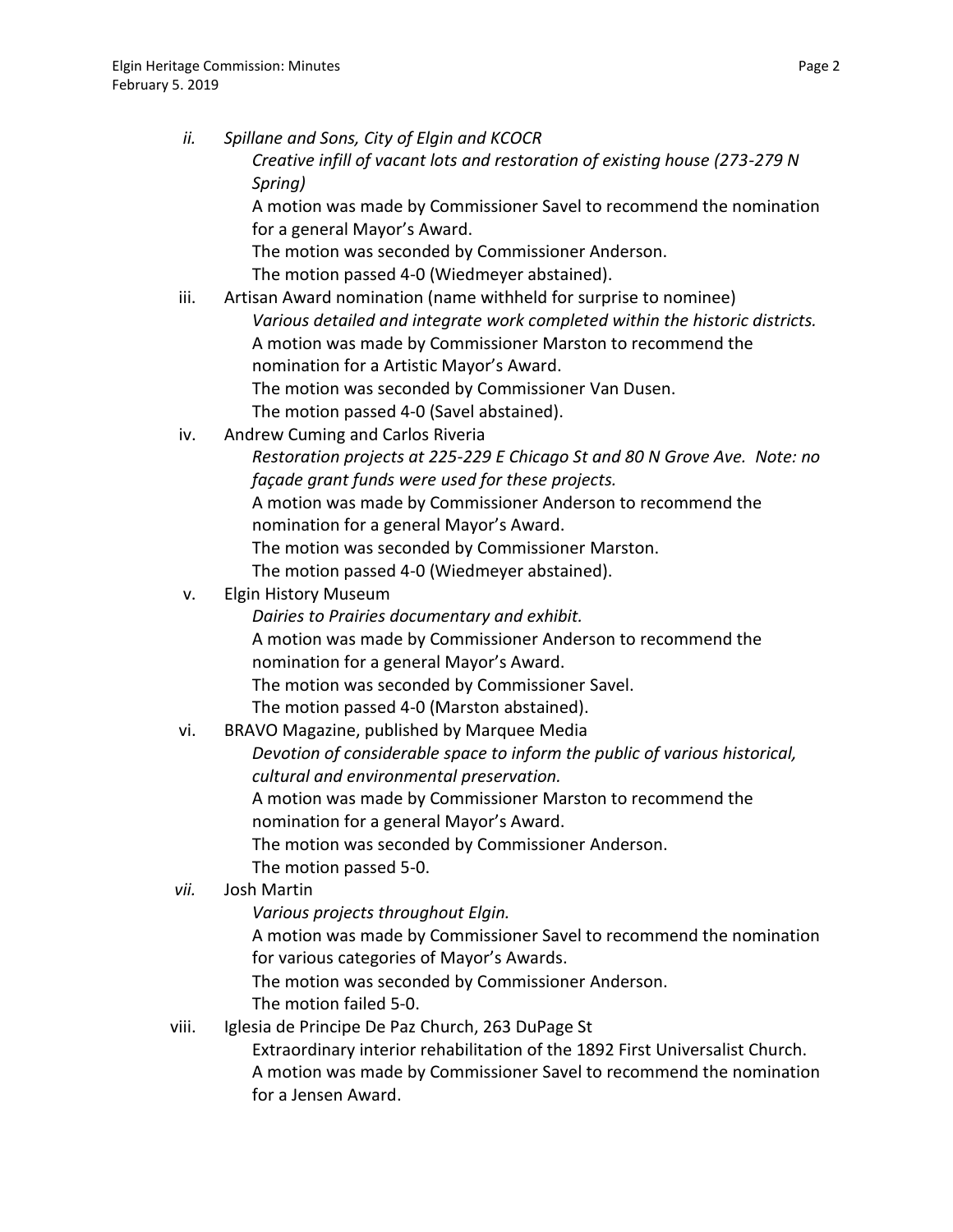| ii.   | Spillane and Sons, City of Elgin and KCOCR                                   |
|-------|------------------------------------------------------------------------------|
|       | Creative infill of vacant lots and restoration of existing house (273-279 N  |
|       | Spring)                                                                      |
|       | A motion was made by Commissioner Savel to recommend the nomination          |
|       | for a general Mayor's Award.                                                 |
|       | The motion was seconded by Commissioner Anderson.                            |
|       | The motion passed 4-0 (Wiedmeyer abstained).                                 |
| iii.  | Artisan Award nomination (name withheld for surprise to nominee)             |
|       | Various detailed and integrate work completed within the historic districts. |
|       | A motion was made by Commissioner Marston to recommend the                   |
|       | nomination for a Artistic Mayor's Award.                                     |
|       | The motion was seconded by Commissioner Van Dusen.                           |
|       | The motion passed 4-0 (Savel abstained).                                     |
| iv.   | Andrew Cuming and Carlos Riveria                                             |
|       | Restoration projects at 225-229 E Chicago St and 80 N Grove Ave. Note: no    |
|       | façade grant funds were used for these projects.                             |
|       | A motion was made by Commissioner Anderson to recommend the                  |
|       | nomination for a general Mayor's Award.                                      |
|       | The motion was seconded by Commissioner Marston.                             |
|       | The motion passed 4-0 (Wiedmeyer abstained).                                 |
| v.    | <b>Elgin History Museum</b>                                                  |
|       | Dairies to Prairies documentary and exhibit.                                 |
|       | A motion was made by Commissioner Anderson to recommend the                  |
|       | nomination for a general Mayor's Award.                                      |
|       | The motion was seconded by Commissioner Savel.                               |
|       | The motion passed 4-0 (Marston abstained).                                   |
| vi.   | BRAVO Magazine, published by Marquee Media                                   |
|       | Devotion of considerable space to inform the public of various historical,   |
|       | cultural and environmental preservation.                                     |
|       | A motion was made by Commissioner Marston to recommend the                   |
|       | nomination for a general Mayor's Award.                                      |
|       | The motion was seconded by Commissioner Anderson.                            |
|       | The motion passed 5-0.                                                       |
| vii.  | <b>Josh Martin</b>                                                           |
|       | Various projects throughout Elgin.                                           |
|       | A motion was made by Commissioner Savel to recommend the nomination          |
|       | for various categories of Mayor's Awards.                                    |
|       | The motion was seconded by Commissioner Anderson.                            |
|       | The motion failed 5-0.                                                       |
| viii. | Iglesia de Principe De Paz Church, 263 DuPage St                             |
|       | Extraordinary interior rehabilitation of the 1892 First Universalist Church. |
|       | A motion was made by Commissioner Savel to recommend the nomination          |

for a Jensen Award.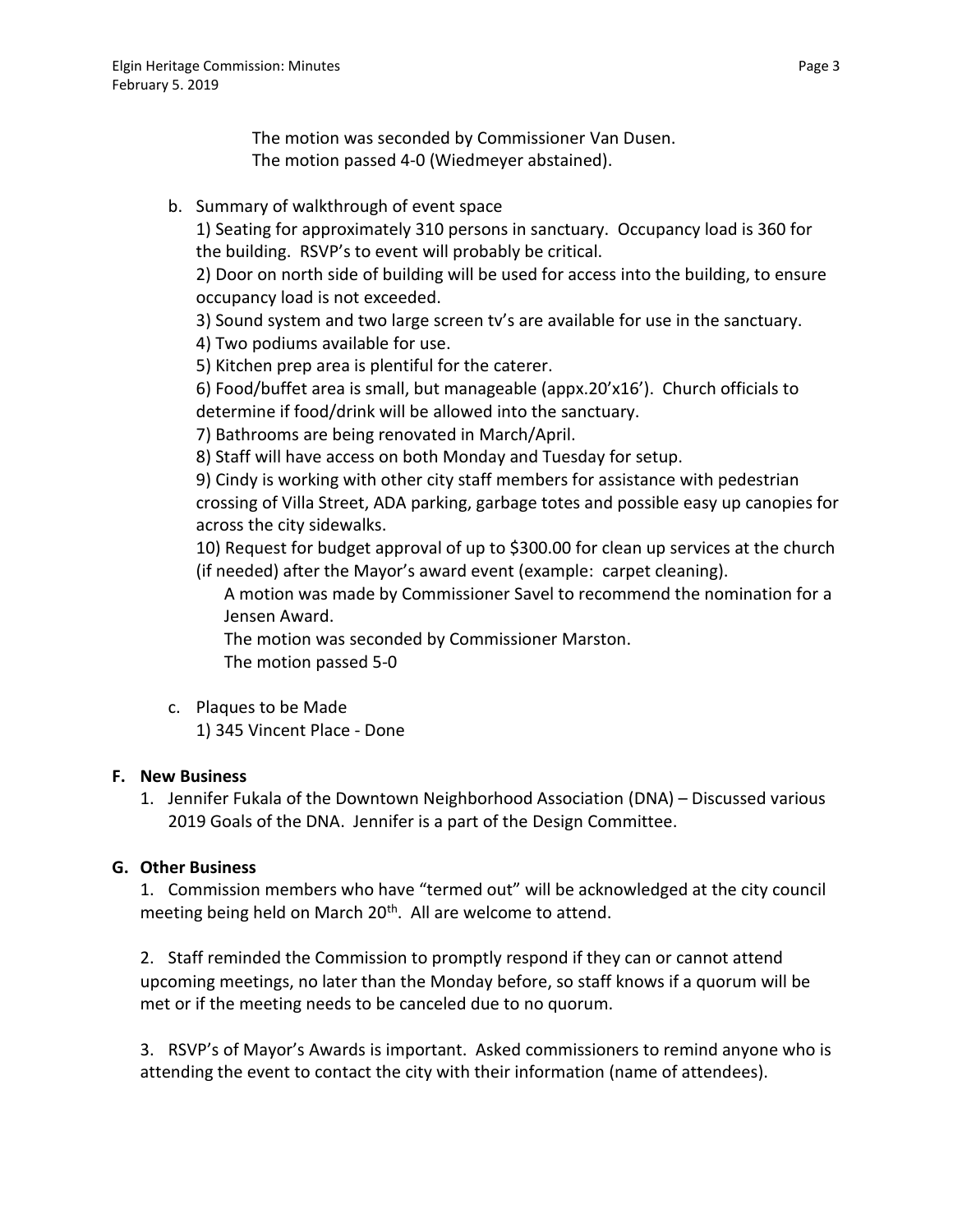The motion was seconded by Commissioner Van Dusen. The motion passed 4-0 (Wiedmeyer abstained).

b. Summary of walkthrough of event space

1) Seating for approximately 310 persons in sanctuary. Occupancy load is 360 for the building. RSVP's to event will probably be critical.

2) Door on north side of building will be used for access into the building, to ensure occupancy load is not exceeded.

3) Sound system and two large screen tv's are available for use in the sanctuary.

4) Two podiums available for use.

5) Kitchen prep area is plentiful for the caterer.

6) Food/buffet area is small, but manageable (appx.20'x16'). Church officials to determine if food/drink will be allowed into the sanctuary.

7) Bathrooms are being renovated in March/April.

8) Staff will have access on both Monday and Tuesday for setup.

9) Cindy is working with other city staff members for assistance with pedestrian crossing of Villa Street, ADA parking, garbage totes and possible easy up canopies for across the city sidewalks.

10) Request for budget approval of up to \$300.00 for clean up services at the church (if needed) after the Mayor's award event (example: carpet cleaning).

A motion was made by Commissioner Savel to recommend the nomination for a Jensen Award.

The motion was seconded by Commissioner Marston. The motion passed 5-0

c. Plaques to be Made 1) 345 Vincent Place - Done

## **F. New Business**

1. Jennifer Fukala of the Downtown Neighborhood Association (DNA) – Discussed various 2019 Goals of the DNA. Jennifer is a part of the Design Committee.

## **G. Other Business**

1. Commission members who have "termed out" will be acknowledged at the city council meeting being held on March  $20<sup>th</sup>$ . All are welcome to attend.

2. Staff reminded the Commission to promptly respond if they can or cannot attend upcoming meetings, no later than the Monday before, so staff knows if a quorum will be met or if the meeting needs to be canceled due to no quorum.

3. RSVP's of Mayor's Awards is important. Asked commissioners to remind anyone who is attending the event to contact the city with their information (name of attendees).